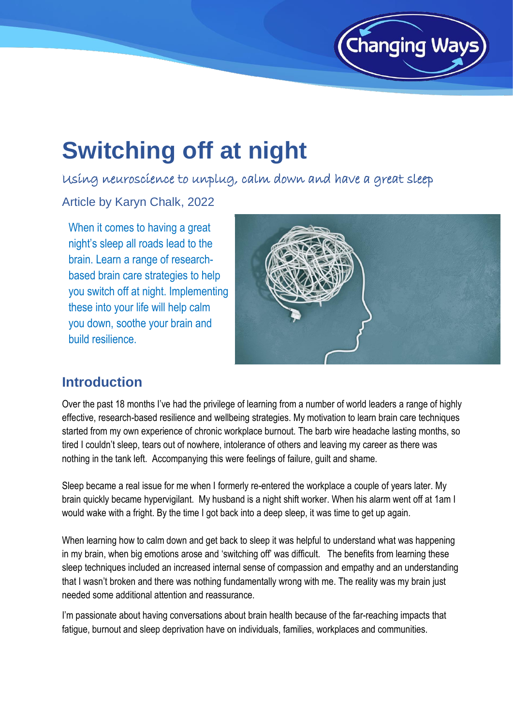

## **Switching off at night**

Using neuroscience to unplug, calm down and have a great sleep

Article by Karyn Chalk, 2022

When it comes to having a great night's sleep all roads lead to the brain. Learn a range of researchbased brain care strategies to help you switch off at night. Implementing these into your life will help calm you down, soothe your brain and build resilience.



## **Introduction**

Over the past 18 months I've had the privilege of learning from a number of world leaders a range of highly effective, research-based resilience and wellbeing strategies. My motivation to learn brain care techniques started from my own experience of chronic workplace burnout. The barb wire headache lasting months, so tired I couldn't sleep, tears out of nowhere, intolerance of others and leaving my career as there was nothing in the tank left. Accompanying this were feelings of failure, guilt and shame.

Sleep became a real issue for me when I formerly re-entered the workplace a couple of years later. My brain quickly became hypervigilant. My husband is a night shift worker. When his alarm went off at 1am I would wake with a fright. By the time I got back into a deep sleep, it was time to get up again.

When learning how to calm down and get back to sleep it was helpful to understand what was happening in my brain, when big emotions arose and 'switching off' was difficult. The benefits from learning these sleep techniques included an increased internal sense of compassion and empathy and an understanding that I wasn't broken and there was nothing fundamentally wrong with me. The reality was my brain just needed some additional attention and reassurance.

I'm passionate about having conversations about brain health because of the far-reaching impacts that fatigue, burnout and sleep deprivation have on individuals, families, workplaces and communities.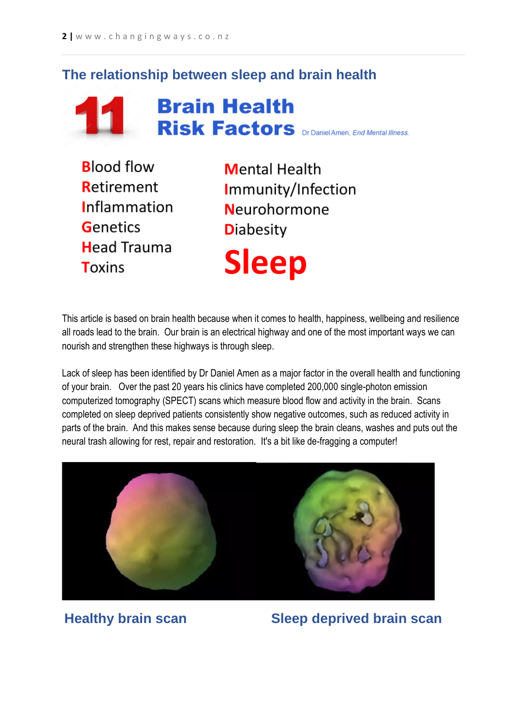## **The relationship between sleep and brain health**



# **Brain Health 11 Brain Health**<br>Risk Factors DrDanielAmen, *End Mental Illness*.

**Blood flow Retirement Inflammation** Genetics **Head Trauma Toxins** 

**Mental Health** Immunity/Infection **Neurohormone Diabesity Sleep** 

This article is based on brain health because when it comes to health, happiness, wellbeing and resilience all roads lead to the brain. Our brain is an electrical highway and one of the most important ways we can nourish and strengthen these highways is through sleep.

Lack of sleep has been identified by Dr Daniel Amen as a major factor in the overall health and functioning of your brain. Over the past 20 years his clinics have completed 200,000 single-photon emission computerized tomography (SPECT) scans which measure blood flow and activity in the brain. Scans completed on sleep deprived patients consistently show negative outcomes, such as reduced activity in parts of the brain. And this makes sense because during sleep the brain cleans, washes and puts out the neural trash allowing for rest, repair and restoration. It's a bit like de-fragging a computer!



**Healthy brain scan Sleep deprived brain scan**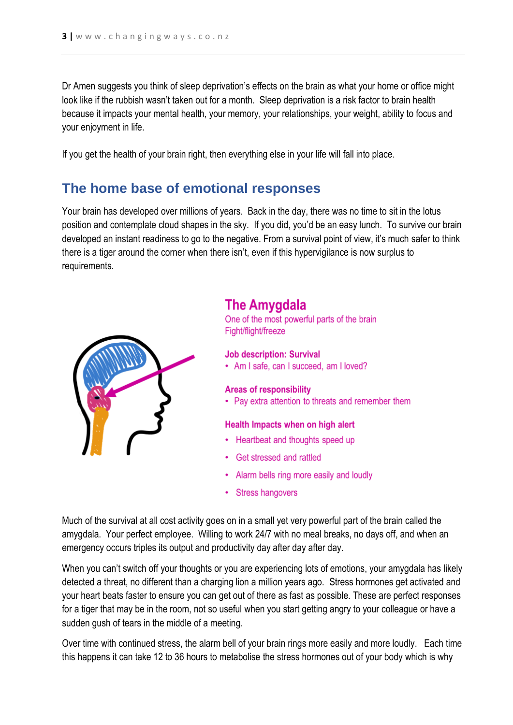Dr Amen suggests you think of sleep deprivation's effects on the brain as what your home or office might look like if the rubbish wasn't taken out for a month. Sleep deprivation is a risk factor to brain health because it impacts your mental health, your memory, your relationships, your weight, ability to focus and your enjoyment in life.

If you get the health of your brain right, then everything else in your life will fall into place.

## **The home base of emotional responses**

Your brain has developed over millions of years. Back in the day, there was no time to sit in the lotus position and contemplate cloud shapes in the sky. If you did, you'd be an easy lunch. To survive our brain developed an instant readiness to go to the negative. From a survival point of view, it's much safer to think there is a tiger around the corner when there isn't, even if this hypervigilance is now surplus to requirements.



## **The Amvgdala**

One of the most powerful parts of the brain Fight/flight/freeze

#### **Job description: Survival**

• Am I safe, can I succeed, am I loved?

#### **Areas of responsibility**

• Pay extra attention to threats and remember them

#### Health Impacts when on high alert

- Heartbeat and thoughts speed up
- Get stressed and rattled
- Alarm bells ring more easily and loudly
- Stress hangovers

Much of the survival at all cost activity goes on in a small yet very powerful part of the brain called the amygdala. Your perfect employee. Willing to work 24/7 with no meal breaks, no days off, and when an emergency occurs triples its output and productivity day after day after day.

When you can't switch off your thoughts or you are experiencing lots of emotions, your amygdala has likely detected a threat, no different than a charging lion a million years ago. Stress hormones get activated and your heart beats faster to ensure you can get out of there as fast as possible. These are perfect responses for a tiger that may be in the room, not so useful when you start getting angry to your colleague or have a sudden gush of tears in the middle of a meeting.

Over time with continued stress, the alarm bell of your brain rings more easily and more loudly. Each time this happens it can take 12 to 36 hours to metabolise the stress hormones out of your body which is why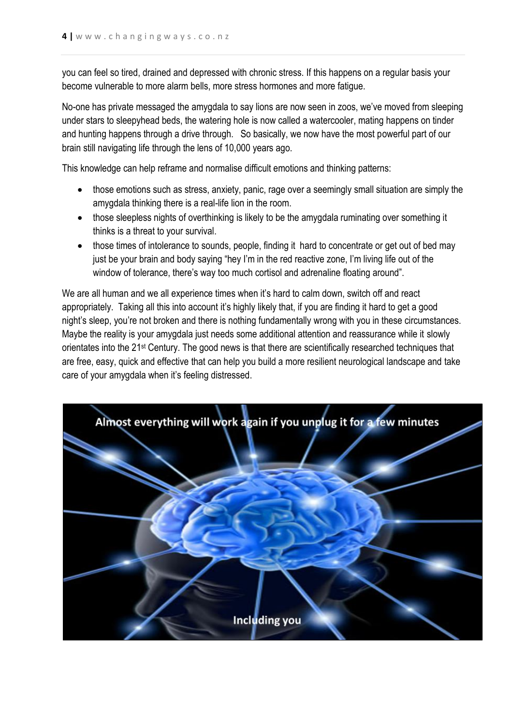you can feel so tired, drained and depressed with chronic stress. If this happens on a regular basis your become vulnerable to more alarm bells, more stress hormones and more fatigue.

No-one has private messaged the amygdala to say lions are now seen in zoos, we've moved from sleeping under stars to sleepyhead beds, the watering hole is now called a watercooler, mating happens on tinder and hunting happens through a drive through. So basically, we now have the most powerful part of our brain still navigating life through the lens of 10,000 years ago.

This knowledge can help reframe and normalise difficult emotions and thinking patterns:

- those emotions such as stress, anxiety, panic, rage over a seemingly small situation are simply the amygdala thinking there is a real-life lion in the room.
- those sleepless nights of overthinking is likely to be the amygdala ruminating over something it thinks is a threat to your survival.
- those times of intolerance to sounds, people, finding it hard to concentrate or get out of bed may just be your brain and body saying "hey I'm in the red reactive zone, I'm living life out of the window of tolerance, there's way too much cortisol and adrenaline floating around".

We are all human and we all experience times when it's hard to calm down, switch off and react appropriately. Taking all this into account it's highly likely that, if you are finding it hard to get a good night's sleep, you're not broken and there is nothing fundamentally wrong with you in these circumstances. Maybe the reality is your amygdala just needs some additional attention and reassurance while it slowly orientates into the 21st Century. The good news is that there are scientifically researched techniques that are free, easy, quick and effective that can help you build a more resilient neurological landscape and take care of your amygdala when it's feeling distressed.

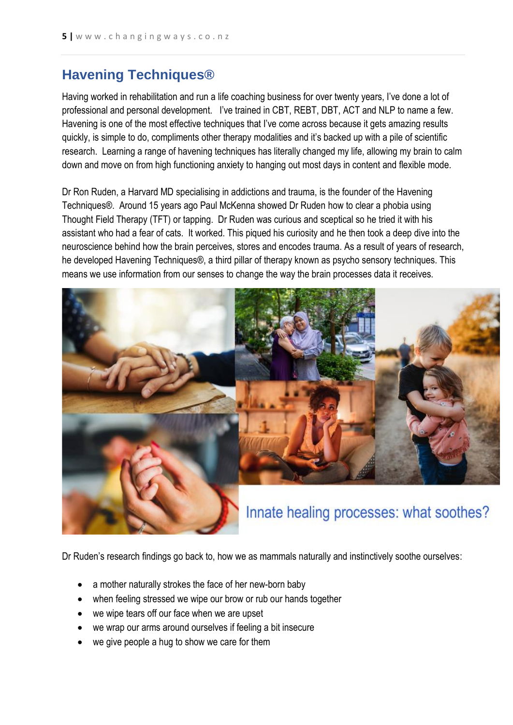## **Havening Techniques®**

Having worked in rehabilitation and run a life coaching business for over twenty years, I've done a lot of professional and personal development. I've trained in CBT, REBT, DBT, ACT and NLP to name a few. Havening is one of the most effective techniques that I've come across because it gets amazing results quickly, is simple to do, compliments other therapy modalities and it's backed up with a pile of scientific research. Learning a range of havening techniques has literally changed my life, allowing my brain to calm down and move on from high functioning anxiety to hanging out most days in content and flexible mode.

Dr Ron Ruden, a Harvard MD specialising in addictions and trauma, is the founder of the Havening Techniques®. Around 15 years ago Paul McKenna showed Dr Ruden how to clear a phobia using Thought Field Therapy (TFT) or tapping. Dr Ruden was curious and sceptical so he tried it with his assistant who had a fear of cats. It worked. This piqued his curiosity and he then took a deep dive into the neuroscience behind how the brain perceives, stores and encodes trauma. As a result of years of research, he developed Havening Techniques®, a third pillar of therapy known as psycho sensory techniques. This means we use information from our senses to change the way the brain processes data it receives.



Dr Ruden's research findings go back to, how we as mammals naturally and instinctively soothe ourselves:

- a mother naturally strokes the face of her new-born baby
- when feeling stressed we wipe our brow or rub our hands together
- we wipe tears off our face when we are upset
- we wrap our arms around ourselves if feeling a bit insecure
- we give people a hug to show we care for them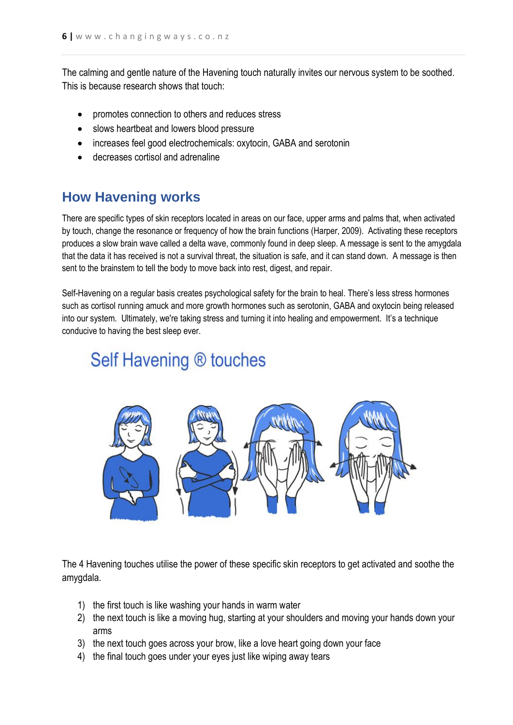The calming and gentle nature of the Havening touch naturally invites our nervous system to be soothed. This is because research shows that touch:

- promotes connection to others and reduces stress
- slows heartbeat and lowers blood pressure
- increases feel good electrochemicals: oxytocin, GABA and serotonin
- decreases cortisol and adrenaline

## **How Havening works**

There are specific types of skin receptors located in areas on our face, upper arms and palms that, when activated by touch, change the resonance or frequency of how the brain functions (Harper, 2009). Activating these receptors produces a slow brain wave called a delta wave, commonly found in deep sleep. A message is sent to the amygdala that the data it has received is not a survival threat, the situation is safe, and it can stand down. A message is then sent to the brainstem to tell the body to move back into rest, digest, and repair.

Self-Havening on a regular basis creates psychological safety for the brain to heal. There's less stress hormones such as cortisol running amuck and more growth hormones such as serotonin, GABA and oxytocin being released into our system. Ultimately, we're taking stress and turning it into healing and empowerment. It's a technique conducive to having the best sleep ever.

## Self Havening ® touches



The 4 Havening touches utilise the power of these specific skin receptors to get activated and soothe the amygdala.

- 1) the first touch is like washing your hands in warm water
- 2) the next touch is like a moving hug, starting at your shoulders and moving your hands down your arms
- 3) the next touch goes across your brow, like a love heart going down your face
- 4) the final touch goes under your eyes just like wiping away tears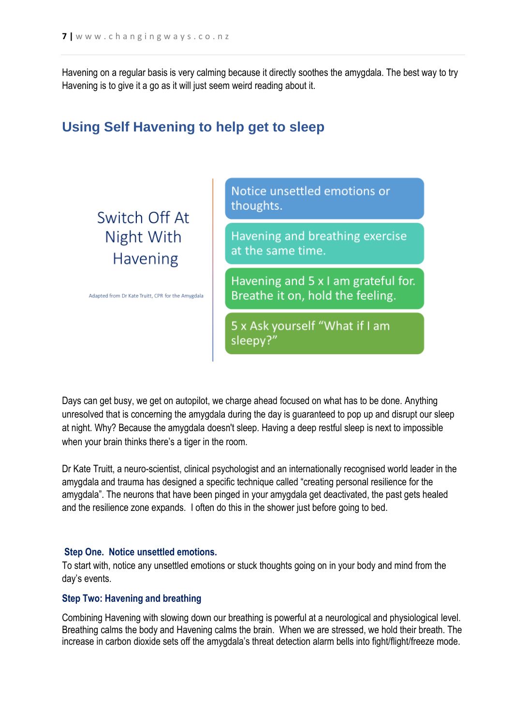Havening on a regular basis is very calming because it directly soothes the amygdala. The best way to try Havening is to give it a go as it will just seem weird reading about it.

## **Using Self Havening to help get to sleep**

## Switch Off At Night With **Havening**

Adapted from Dr Kate Truitt, CPR for the Amygdala

Notice unsettled emotions or thoughts.

Havening and breathing exercise at the same time.

Havening and 5 x I am grateful for. Breathe it on, hold the feeling.

5 x Ask yourself "What if I am sleepy?"

Days can get busy, we get on autopilot, we charge ahead focused on what has to be done. Anything unresolved that is concerning the amygdala during the day is guaranteed to pop up and disrupt our sleep at night. Why? Because the amygdala doesn't sleep. Having a deep restful sleep is next to impossible when your brain thinks there's a tiger in the room.

Dr Kate Truitt, a neuro-scientist, clinical psychologist and an internationally recognised world leader in the amygdala and trauma has designed a specific technique called "creating personal resilience for the amygdala". The neurons that have been pinged in your amygdala get deactivated, the past gets healed and the resilience zone expands. I often do this in the shower just before going to bed.

#### **Step One. Notice unsettled emotions.**

To start with, notice any unsettled emotions or stuck thoughts going on in your body and mind from the day's events.

#### **Step Two: Havening and breathing**

Combining Havening with slowing down our breathing is powerful at a neurological and physiological level. Breathing calms the body and Havening calms the brain. When we are stressed, we hold their breath. The increase in carbon dioxide sets off the amygdala's threat detection alarm bells into fight/flight/freeze mode.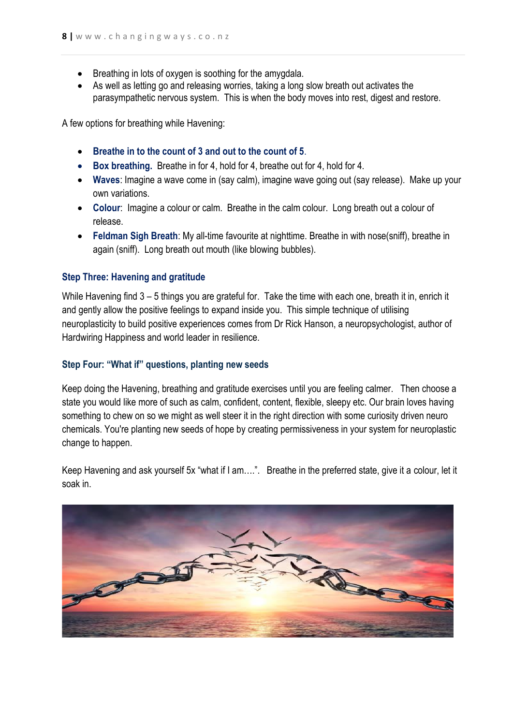- Breathing in lots of oxygen is soothing for the amygdala.
- As well as letting go and releasing worries, taking a long slow breath out activates the parasympathetic nervous system. This is when the body moves into rest, digest and restore.

A few options for breathing while Havening:

- **Breathe in to the count of 3 and out to the count of 5**.
- **Box breathing.** Breathe in for 4, hold for 4, breathe out for 4, hold for 4.
- **Waves**: Imagine a wave come in (say calm), imagine wave going out (say release). Make up your own variations.
- **Colour**: Imagine a colour or calm. Breathe in the calm colour. Long breath out a colour of release.
- **Feldman Sigh Breath**: My all-time favourite at nighttime. Breathe in with nose(sniff), breathe in again (sniff). Long breath out mouth (like blowing bubbles).

#### **Step Three: Havening and gratitude**

While Havening find  $3 - 5$  things you are grateful for. Take the time with each one, breath it in, enrich it and gently allow the positive feelings to expand inside you. This simple technique of utilising neuroplasticity to build positive experiences comes from Dr Rick Hanson, a neuropsychologist, author of Hardwiring Happiness and world leader in resilience.

#### **Step Four: "What if" questions, planting new seeds**

Keep doing the Havening, breathing and gratitude exercises until you are feeling calmer. Then choose a state you would like more of such as calm, confident, content, flexible, sleepy etc. Our brain loves having something to chew on so we might as well steer it in the right direction with some curiosity driven neuro chemicals. You're planting new seeds of hope by creating permissiveness in your system for neuroplastic change to happen.

Keep Havening and ask yourself 5x "what if I am….". Breathe in the preferred state, give it a colour, let it soak in.

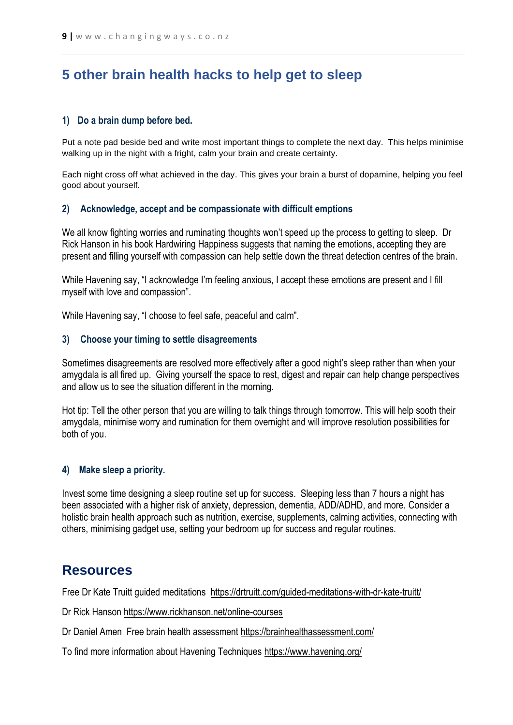## **5 other brain health hacks to help get to sleep**

#### **1) Do a brain dump before bed.**

Put a note pad beside bed and write most important things to complete the next day. This helps minimise walking up in the night with a fright, calm your brain and create certainty.

Each night cross off what achieved in the day. This gives your brain a burst of dopamine, helping you feel good about yourself.

#### **2) Acknowledge, accept and be compassionate with difficult emptions**

We all know fighting worries and ruminating thoughts won't speed up the process to getting to sleep. Dr Rick Hanson in his book Hardwiring Happiness suggests that naming the emotions, accepting they are present and filling yourself with compassion can help settle down the threat detection centres of the brain.

While Havening say, "I acknowledge I'm feeling anxious, I accept these emotions are present and I fill myself with love and compassion".

While Havening say, "I choose to feel safe, peaceful and calm".

#### **3) Choose your timing to settle disagreements**

Sometimes disagreements are resolved more effectively after a good night's sleep rather than when your amygdala is all fired up. Giving yourself the space to rest, digest and repair can help change perspectives and allow us to see the situation different in the morning.

Hot tip: Tell the other person that you are willing to talk things through tomorrow. This will help sooth their amygdala, minimise worry and rumination for them overnight and will improve resolution possibilities for both of you.

#### **4) Make sleep a priority.**

Invest some time designing a sleep routine set up for success. Sleeping less than 7 hours a night has been associated with a higher risk of anxiety, depression, dementia, ADD/ADHD, and more. Consider a holistic brain health approach such as nutrition, exercise, supplements, calming activities, connecting with others, minimising gadget use, setting your bedroom up for success and regular routines.

### **Resources**

Free Dr Kate Truitt guided meditations <https://drtruitt.com/guided-meditations-with-dr-kate-truitt/>

Dr Rick Hanson<https://www.rickhanson.net/online-courses>

Dr Daniel Amen Free brain health assessment<https://brainhealthassessment.com/>

To find more information about Havening Techniques<https://www.havening.org/>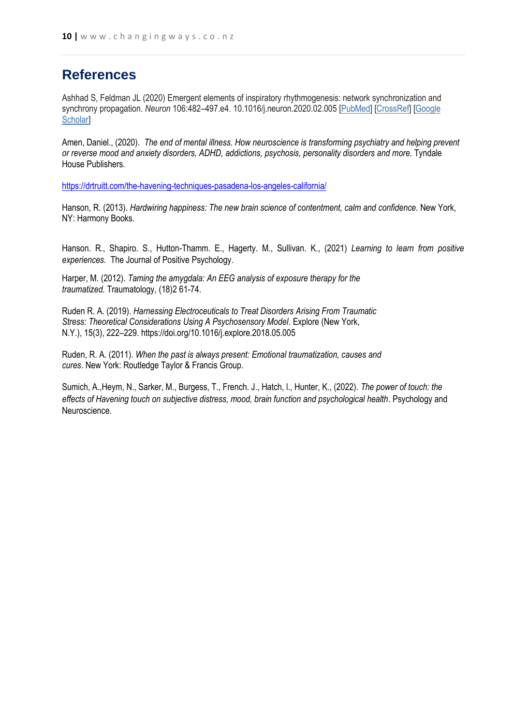## **References**

Ashhad S, Feldman JL (2020) Emergent elements of inspiratory rhythmogenesis: network synchronization and synchrony propagation. *Neuron* 106:482–497.e4. 10.1016/j.neuron.2020.02.005 [\[PubMed\]](https://www.ncbi.nlm.nih.gov/pubmed/32130872) [\[CrossRef\]](https://dx.doi.org/10.1016%2Fj.neuron.2020.02.005) [\[Google](https://scholar.google.com/scholar_lookup?journal=Neuron&title=Emergent+elements+of+inspiratory+rhythmogenesis:+network+synchronization+and+synchrony+propagation&volume=106&publication_year=2020&pages=482-497.e4&pmid=32130872&doi=10.1016/j.neuron.2020.02.005&)  **Scholarl** 

Amen, Daniel., (2020). *The end of mental illness. How neuroscience is transforming psychiatry and helping prevent or reverse mood and anxiety disorders, ADHD, addictions, psychosis, personality disorders and more.* Tyndale House Publishers.

<https://drtruitt.com/the-havening-techniques-pasadena-los-angeles-california/>

Hanson, R. (2013). *Hardwiring happiness: The new brain science of contentment, calm and confidence.* New York, NY: Harmony Books.

Hanson. R., Shapiro. S., Hutton-Thamm. E., Hagerty. M., Sullivan. K., (2021) *Learning to learn from positive experiences.* The Journal of Positive Psychology.

Harper, M. (2012). *Taming the amygdala: An EEG analysis of exposure therapy for the traumatized.* Traumatology*,* (18)2 61-74.

Ruden R. A. (2019). *Harnessing Electroceuticals to Treat Disorders Arising From Traumatic Stress: Theoretical Considerations Using A Psychosensory Model*. Explore (New York, N.Y.), 15(3), 222–229. https://doi.org/10.1016/j.explore.2018.05.005

Ruden, R. A. (2011). *When the past is always present: Emotional traumatization, causes and cures*. New York: Routledge Taylor & Francis Group.

Sumich, A.,Heym, N., Sarker, M., Burgess, T., French. J., Hatch, l., Hunter, K., (2022). *The power of touch: the effects of Havening touch on subjective distress, mood, brain function and psychological health*. Psychology and Neuroscience*.*